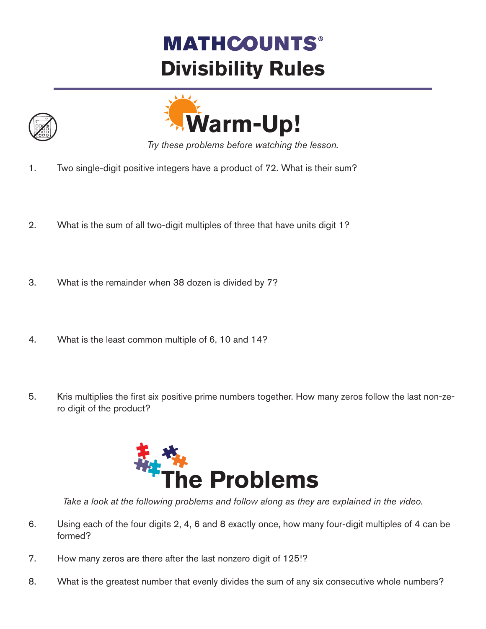## **MATHCOUNTS® Divisibility Rules**





*Try these problems before watching the lesson.*

- 1. Two single-digit positive integers have a product of 72. What is their sum?
- 2. What is the sum of all two-digit multiples of three that have units digit 1?
- 3. What is the remainder when 38 dozen is divided by 7?
- 4. What is the least common multiple of 6, 10 and 14?
- 5. Kris multiplies the first six positive prime numbers together. How many zeros follow the last non-zero digit of the product?



*Take a look at the following problems and follow along as they are explained in the video.*

- 6. Using each of the four digits 2, 4, 6 and 8 exactly once, how many four-digit multiples of 4 can be formed?
- 7. How many zeros are there after the last nonzero digit of 125!?
- 8. What is the greatest number that evenly divides the sum of any six consecutive whole numbers?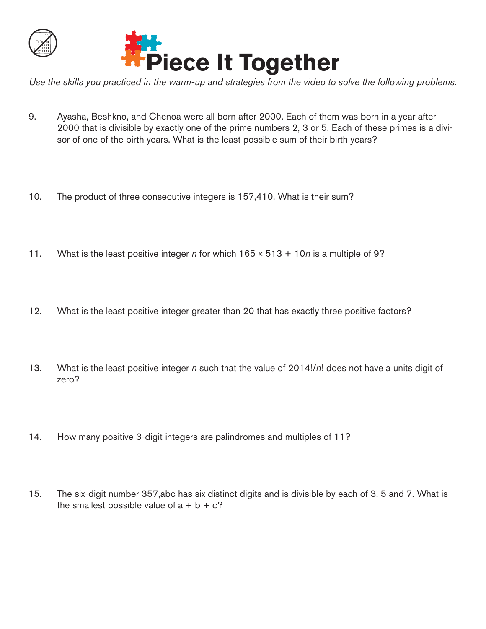

*Use the skills you practiced in the warm-up and strategies from the video to solve the following problems.*

- 9. Ayasha, Beshkno, and Chenoa were all born after 2000. Each of them was born in a year after 2000 that is divisible by exactly one of the prime numbers 2, 3 or 5. Each of these primes is a divisor of one of the birth years. What is the least possible sum of their birth years?
- 10. The product of three consecutive integers is 157,410. What is their sum?
- 11. What is the least positive integer *n* for which 165 × 513 + 10*n* is a multiple of 9?
- 12. What is the least positive integer greater than 20 that has exactly three positive factors?
- 13. What is the least positive integer *n* such that the value of 2014!/*n*! does not have a units digit of zero?
- 14. How many positive 3-digit integers are palindromes and multiples of 11?
- 15. The six-digit number 357,abc has six distinct digits and is divisible by each of 3, 5 and 7. What is the smallest possible value of  $a + b + c$ ?